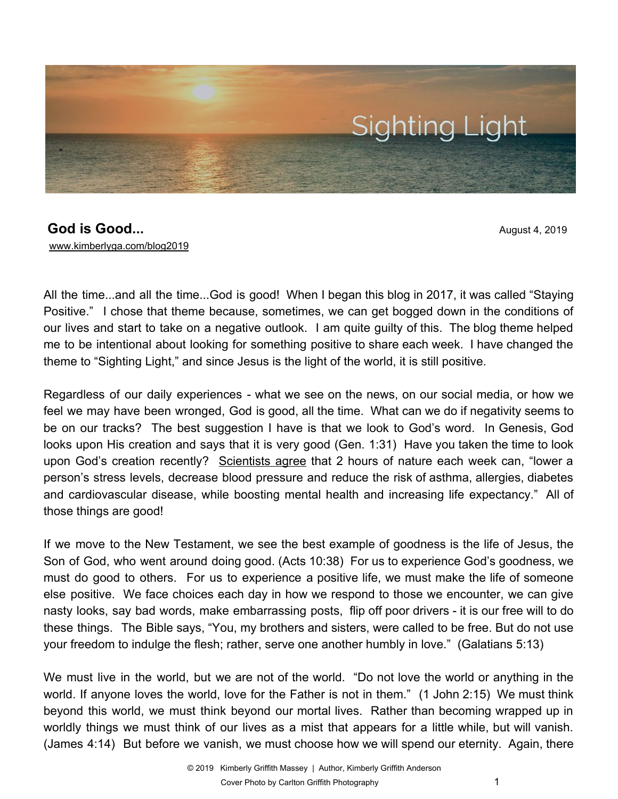

## **God is Good...** August 4, 2019 [www.kimberlyga.com/blog2019](http://www.kimberlyga.com/blog)

All the time...and all the time...God is good! When I began this blog in 2017, it was called "Staying Positive." I chose that theme because, sometimes, we can get bogged down in the conditions of our lives and start to take on a negative outlook. I am quite guilty of this. The blog theme helped me to be intentional about looking for something positive to share each week. I have changed the theme to "Sighting Light," and since Jesus is the light of the world, it is still positive.

Regardless of our daily experiences - what we see on the news, on our social media, or how we feel we may have been wronged, God is good, all the time. What can we do if negativity seems to be on our tracks? The best suggestion I have is that we look to God's word. In Genesis, God looks upon His creation and says that it is very good (Gen. 1:31) Have you taken the time to look upon God's creation recently? [Scientists](https://www.nytimes.com/2019/06/13/health/nature-outdoors-health.html) agree that 2 hours of nature each week can, "lower a person's stress levels, decrease blood pressure and reduce the risk of asthma, allergies, diabetes and cardiovascular disease, while boosting mental health and increasing life expectancy." All of those things are good!

If we move to the New Testament, we see the best example of goodness is the life of Jesus, the Son of God, who went around doing good. (Acts 10:38) For us to experience God's goodness, we must do good to others. For us to experience a positive life, we must make the life of someone else positive. We face choices each day in how we respond to those we encounter, we can give nasty looks, say bad words, make embarrassing posts, flip off poor drivers - it is our free will to do these things. The Bible says, "You, my brothers and sisters, were called to be free. But do not use your freedom to indulge the flesh; rather, serve one another humbly in love." (Galatians 5:13)

We must live in the world, but we are not of the world. "Do not love the world or anything in the world. If anyone loves the world, love for the Father is not in them." (1 John 2:15) We must think beyond this world, we must think beyond our mortal lives. Rather than becoming wrapped up in worldly things we must think of our lives as a mist that appears for a little while, but will vanish. (James 4:14) But before we vanish, we must choose how we will spend our eternity. Again, there